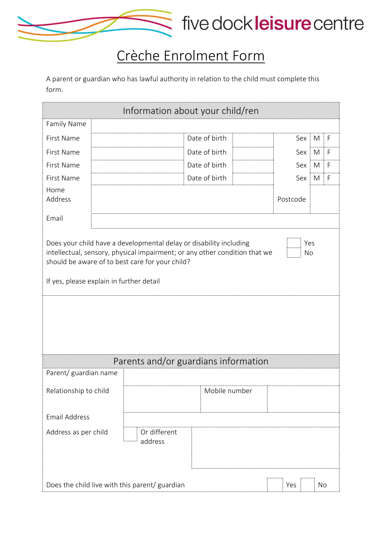

## Crèche Enrolment Form

A parent or guardian who has lawful authority in relation to the child must complete this form.

| Information about your child/ren |                                                                                                                                                                                                                                                 |               |  |           |    |              |
|----------------------------------|-------------------------------------------------------------------------------------------------------------------------------------------------------------------------------------------------------------------------------------------------|---------------|--|-----------|----|--------------|
| Family Name                      |                                                                                                                                                                                                                                                 |               |  |           |    |              |
| First Name                       |                                                                                                                                                                                                                                                 | Date of birth |  | Sex       | M  | F            |
| First Name                       |                                                                                                                                                                                                                                                 | Date of birth |  | Sex       | M  | $\mathsf{F}$ |
| First Name                       |                                                                                                                                                                                                                                                 | Date of birth |  | Sex       | M  | $\mathsf{F}$ |
| First Name                       |                                                                                                                                                                                                                                                 | Date of birth |  | Sex       | M  | F            |
| Home<br>Address                  |                                                                                                                                                                                                                                                 |               |  | Postcode  |    |              |
| Email                            |                                                                                                                                                                                                                                                 |               |  |           |    |              |
|                                  | Does your child have a developmental delay or disability including<br>intellectual, sensory, physical impairment; or any other condition that we<br>should be aware of to best care for your child?<br>If yes, please explain in further detail |               |  | Yes<br>No |    |              |
|                                  |                                                                                                                                                                                                                                                 |               |  |           |    |              |
|                                  | Parents and/or guardians information                                                                                                                                                                                                            |               |  |           |    |              |
| Parent/ guardian name            |                                                                                                                                                                                                                                                 |               |  |           |    |              |
| Relationship to child            |                                                                                                                                                                                                                                                 | Mobile number |  |           |    |              |
| <b>Email Address</b>             |                                                                                                                                                                                                                                                 |               |  |           |    |              |
| Address as per child             | Or different<br>address                                                                                                                                                                                                                         |               |  |           |    |              |
|                                  | Does the child live with this parent/ guardian                                                                                                                                                                                                  |               |  | Yes       | No |              |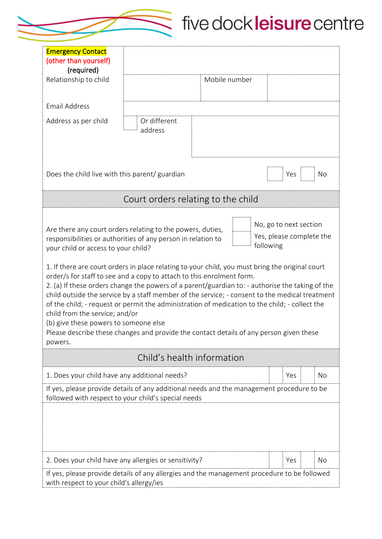

## five dockleisure centre

| <b>Emergency Contact</b><br>(other than yourself)                                                                                                                                                                                                                                                                                                                                                                                                                                                                                                                                                                                                                                                                                                                                                                                     |                                    |               |                                     |                          |
|---------------------------------------------------------------------------------------------------------------------------------------------------------------------------------------------------------------------------------------------------------------------------------------------------------------------------------------------------------------------------------------------------------------------------------------------------------------------------------------------------------------------------------------------------------------------------------------------------------------------------------------------------------------------------------------------------------------------------------------------------------------------------------------------------------------------------------------|------------------------------------|---------------|-------------------------------------|--------------------------|
| (required)<br>Relationship to child                                                                                                                                                                                                                                                                                                                                                                                                                                                                                                                                                                                                                                                                                                                                                                                                   |                                    | Mobile number |                                     |                          |
| <b>Email Address</b>                                                                                                                                                                                                                                                                                                                                                                                                                                                                                                                                                                                                                                                                                                                                                                                                                  |                                    |               |                                     |                          |
| Address as per child                                                                                                                                                                                                                                                                                                                                                                                                                                                                                                                                                                                                                                                                                                                                                                                                                  | Or different<br>address            |               |                                     |                          |
| Does the child live with this parent/ guardian                                                                                                                                                                                                                                                                                                                                                                                                                                                                                                                                                                                                                                                                                                                                                                                        |                                    |               | Yes                                 | <b>No</b>                |
|                                                                                                                                                                                                                                                                                                                                                                                                                                                                                                                                                                                                                                                                                                                                                                                                                                       | Court orders relating to the child |               |                                     |                          |
| Are there any court orders relating to the powers, duties,<br>responsibilities or authorities of any person in relation to<br>your child or access to your child?<br>1. If there are court orders in place relating to your child, you must bring the original court<br>order/s for staff to see and a copy to attach to this enrolment form.<br>2. (a) If these orders change the powers of a parent/guardian to: - authorise the taking of the<br>child outside the service by a staff member of the service; - consent to the medical treatment<br>of the child; - request or permit the administration of medication to the child; - collect the<br>child from the service; and/or<br>(b) give these powers to someone else<br>Please describe these changes and provide the contact details of any person given these<br>powers. |                                    |               | No, go to next section<br>following | Yes, please complete the |
|                                                                                                                                                                                                                                                                                                                                                                                                                                                                                                                                                                                                                                                                                                                                                                                                                                       | Child's health information         |               |                                     |                          |
| 1. Does your child have any additional needs?                                                                                                                                                                                                                                                                                                                                                                                                                                                                                                                                                                                                                                                                                                                                                                                         |                                    |               | Yes                                 | No                       |
| If yes, please provide details of any additional needs and the management procedure to be<br>followed with respect to your child's special needs                                                                                                                                                                                                                                                                                                                                                                                                                                                                                                                                                                                                                                                                                      |                                    |               |                                     |                          |
| 2. Does your child have any allergies or sensitivity?<br>If yes, please provide details of any allergies and the management procedure to be followed                                                                                                                                                                                                                                                                                                                                                                                                                                                                                                                                                                                                                                                                                  |                                    |               | Yes                                 | No                       |
| with respect to your child's allergy/ies                                                                                                                                                                                                                                                                                                                                                                                                                                                                                                                                                                                                                                                                                                                                                                                              |                                    |               |                                     |                          |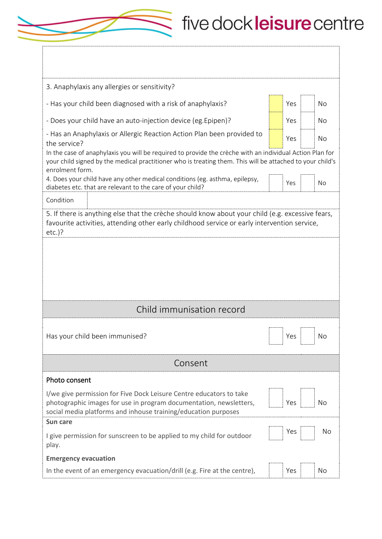## five dockleisure centre

| 3. Anaphylaxis any allergies or sensitivity?                                                                                                                                                                                             |  |     |           |  |
|------------------------------------------------------------------------------------------------------------------------------------------------------------------------------------------------------------------------------------------|--|-----|-----------|--|
| - Has your child been diagnosed with a risk of anaphylaxis?                                                                                                                                                                              |  | Yes | <b>No</b> |  |
| - Does your child have an auto-injection device (eg. Epipen)?                                                                                                                                                                            |  | Yes | <b>No</b> |  |
| - Has an Anaphylaxis or Allergic Reaction Action Plan been provided to<br>the service?                                                                                                                                                   |  | Yes | No        |  |
| In the case of anaphylaxis you will be required to provide the crèche with an individual Action Plan for<br>your child signed by the medical practitioner who is treating them. This will be attached to your child's<br>enrolment form. |  |     |           |  |
| 4. Does your child have any other medical conditions (eg. asthma, epilepsy,<br>diabetes etc. that are relevant to the care of your child?                                                                                                |  | Yes | No        |  |
| Condition                                                                                                                                                                                                                                |  |     |           |  |
| 5. If there is anything else that the crèche should know about your child (e.g. excessive fears,<br>favourite activities, attending other early childhood service or early intervention service,<br>$etc.$ )?                            |  |     |           |  |
|                                                                                                                                                                                                                                          |  |     |           |  |
|                                                                                                                                                                                                                                          |  |     |           |  |
|                                                                                                                                                                                                                                          |  |     |           |  |
|                                                                                                                                                                                                                                          |  |     |           |  |
|                                                                                                                                                                                                                                          |  |     |           |  |
| Child immunisation record                                                                                                                                                                                                                |  |     |           |  |
| Has your child been immunised?                                                                                                                                                                                                           |  | Yes | No        |  |
| Consent                                                                                                                                                                                                                                  |  |     |           |  |
| Photo consent                                                                                                                                                                                                                            |  |     |           |  |
| I/we give permission for Five Dock Leisure Centre educators to take<br>photographic images for use in program documentation, newsletters,<br>social media platforms and inhouse training/education purposes                              |  | Yes | No        |  |
| Sun care<br>I give permission for sunscreen to be applied to my child for outdoor<br>play.                                                                                                                                               |  | Yes | No        |  |
| <b>Emergency evacuation</b>                                                                                                                                                                                                              |  |     |           |  |

 $\leq$